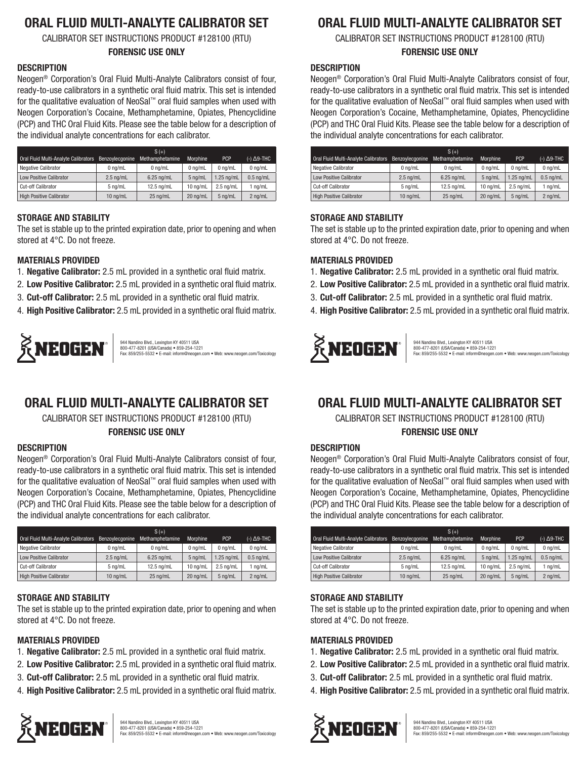# **ORAL FLUID MULTI-ANALYTE CALIBRATOR SET**

CALIBRATOR SET INSTRUCTIONS PRODUCT #128100 (RTU)

#### **FORENSIC USE ONLY**

## **DESCRIPTION**

Neogen® Corporation's Oral Fluid Multi-Analyte Calibrators consist of four, ready-to-use calibrators in a synthetic oral fluid matrix. This set is intended for the qualitative evaluation of NeoSal™ oral fluid samples when used with Neogen Corporation's Cocaine, Methamphetamine, Opiates, Phencyclidine (PCP) and THC Oral Fluid Kits. Please see the table below for a description of the individual analyte concentrations for each calibrator.

|                                      |                 | $S(+)$          |                    |                     |             |
|--------------------------------------|-----------------|-----------------|--------------------|---------------------|-------------|
| Oral Fluid Multi-Analyte Calibrators | Benzoylecgonine | Methamphetamine | Morphine           | <b>PCP</b>          | (-) Δ9-THC  |
| <b>Negative Calibrator</b>           | $0$ na/mL       | $0$ na/mL       | $0$ na/mL          | $0$ na/mL           | $0$ ng/mL   |
| <b>Low Positive Calibrator</b>       | $2.5$ ng/mL     | $6.25$ ng/mL    | 5 ng/mL            | $1.25$ ng/mL        | $0.5$ ng/mL |
| Cut-off Calibrator                   | $5$ ng/mL       | 12.5 na/mL      | $10 \text{ na/mL}$ | $2.5 \text{ na/mL}$ | 1 ng/mL     |
| <b>High Positive Calibrator</b>      | $10$ ng/mL      | 25 ng/mL        | 20 na/mL           | 5 na/mL             | 2 ng/mL     |

## **STORAGE AND STABILITY**

The set is stable up to the printed expiration date, prior to opening and when stored at 4°C. Do not freeze.

## **MATERIALS PROVIDED**

- 1. **Negative Calibrator:** 2.5 mL provided in a synthetic oral fluid matrix.
- 2. **Low Positive Calibrator:** 2.5 mL provided in a synthetic oral fluid matrix.
- 3. **Cut-off Calibrator:** 2.5 mL provided in a synthetic oral fluid matrix.
- 4. **High Positive Calibrator:** 2.5 mL provided in a synthetic oral fluid matrix.



944 Nandino Blvd., Lexington KY 40511 USA<br>800-477-8201 (USA/Canada) ● 859-254-1221<br>Fax: 859/255-5532 ● E-mail: inform@neogen.com ● Web: www.neogen.com/Toxicology

# **ORAL FLUID MULTI-ANALYTE CALIBRATOR SET**

CALIBRATOR SET INSTRUCTIONS PRODUCT #128100 (RTU) **FORENSIC USE ONLY**

#### **DESCRIPTION**

Neogen® Corporation's Oral Fluid Multi-Analyte Calibrators consist of four, ready-to-use calibrators in a synthetic oral fluid matrix. This set is intended for the qualitative evaluation of NeoSal™ oral fluid samples when used with Neogen Corporation's Cocaine, Methamphetamine, Opiates, Phencyclidine (PCP) and THC Oral Fluid Kits. Please see the table below for a description of the individual analyte concentrations for each calibrator.

|                                      |                 | $S(+)$          |            |                     |                      |
|--------------------------------------|-----------------|-----------------|------------|---------------------|----------------------|
| Oral Fluid Multi-Analyte Calibrators | Benzoylecgonine | Methamphetamine | Morphine   | <b>PCP</b>          | $(-)$ $\Delta$ 9-THC |
| <b>Negative Calibrator</b>           | $0$ na/mL       | $0$ ng/mL       | $0$ na/mL  | $0$ na/mL           | $0$ ng/mL            |
| <b>Low Positive Calibrator</b>       | $2.5$ ng/mL     | $6.25$ ng/mL    | 5 na/mL    | $1.25$ ng/mL        | $0.5$ ng/mL          |
| Cut-off Calibrator                   | 5 ng/mL         | 12.5 ng/mL      | $10$ ng/mL | $2.5 \text{ na/mL}$ | 1 ng/mL              |
| <b>High Positive Calibrator</b>      | $10$ ng/mL      | 25 ng/mL        | 20 ng/mL   | 5 na/mL             | 2 ng/mL              |

## **STORAGE AND STABILITY**

The set is stable up to the printed expiration date, prior to opening and when stored at 4°C. Do not freeze.

## **MATERIALS PROVIDED**

- 1. **Negative Calibrator:** 2.5 mL provided in a synthetic oral fluid matrix.
- 2. **Low Positive Calibrator:** 2.5 mL provided in a synthetic oral fluid matrix.
- 3. **Cut-off Calibrator:** 2.5 mL provided in a synthetic oral fluid matrix.
- 4. **High Positive Calibrator:** 2.5 mL provided in a synthetic oral fluid matrix.



# **ORAL FLUID MULTI-ANALYTE CALIBRATOR SET**

CALIBRATOR SET INSTRUCTIONS PRODUCT #128100 (RTU)

## **FORENSIC USE ONLY**

### **DESCRIPTION**

Neogen® Corporation's Oral Fluid Multi-Analyte Calibrators consist of four, ready-to-use calibrators in a synthetic oral fluid matrix. This set is intended for the qualitative evaluation of NeoSal™ oral fluid samples when used with Neogen Corporation's Cocaine, Methamphetamine, Opiates, Phencyclidine (PCP) and THC Oral Fluid Kits. Please see the table below for a description of the individual analyte concentrations for each calibrator.

|                                                      |             | $S(+)$          |                    |                     |                      |
|------------------------------------------------------|-------------|-----------------|--------------------|---------------------|----------------------|
| Oral Fluid Multi-Analyte Calibrators Benzoylecgonine |             | Methamphetamine | Morphine           | <b>PCP</b>          | $(-)$ $\Delta$ 9-THC |
| <b>Negative Calibrator</b>                           | $0$ ng/mL   | $0$ ng/mL       | $0$ na/mL          | $0$ na/mL           | $0$ ng/mL            |
| <b>Low Positive Calibrator</b>                       | $2.5$ ng/mL | $6.25$ ng/mL    | 5 na/mL            | $1.25$ ng/mL        | $0.5$ ng/mL          |
| <b>Cut-off Calibrator</b>                            | 5 ng/mL     | 12.5 ng/mL      | $10 \text{ na/mL}$ | $2.5 \text{ na/mL}$ | 1 ng/mL              |
| High Positive Calibrator                             | $10$ ng/mL  | 25 ng/mL        | 20 ng/mL           | 5 ng/mL             | 2 ng/mL              |

#### **STORAGE AND STABILITY**

The set is stable up to the printed expiration date, prior to opening and when stored at 4°C. Do not freeze.

#### **MATERIALS PROVIDED**

- 1. **Negative Calibrator:** 2.5 mL provided in a synthetic oral fluid matrix.
- 2. **Low Positive Calibrator:** 2.5 mL provided in a synthetic oral fluid matrix.
- 3. **Cut-off Calibrator:** 2.5 mL provided in a synthetic oral fluid matrix.
- 4. **High Positive Calibrator:** 2.5 mL provided in a synthetic oral fluid matrix.



944 Nandino Blvd., Lexington KY 40511 USA<br>800-477-8201 (USA/Canada) ● 859-254-1221<br>Fax: 859/255-5532 ● E-mail: inform@neogen.com ● Web: www.neogen.com/Toxicology

# **ORAL FLUID MULTI-ANALYTE CALIBRATOR SET**

CALIBRATOR SET INSTRUCTIONS PRODUCT #128100 (RTU) **FORENSIC USE ONLY**

## **DESCRIPTION**

Neogen® Corporation's Oral Fluid Multi-Analyte Calibrators consist of four, ready-to-use calibrators in a synthetic oral fluid matrix. This set is intended for the qualitative evaluation of NeoSal™ oral fluid samples when used with Neogen Corporation's Cocaine, Methamphetamine, Opiates, Phencyclidine (PCP) and THC Oral Fluid Kits. Please see the table below for a description of the individual analyte concentrations for each calibrator.

|                                      |                   | $S(+)$          |                    |                     |                      |
|--------------------------------------|-------------------|-----------------|--------------------|---------------------|----------------------|
| Oral Fluid Multi-Analyte Calibrators | Benzoylecgonine   | Methamphetamine | Morphine           | <b>PCP</b>          | $(-)$ $\Delta$ 9-THC |
| <b>Negative Calibrator</b>           | $0$ ng/mL         | $0$ ng/mL       | $0$ na/mL          | $0$ na/mL           | $0$ ng/mL            |
| <b>Low Positive Calibrator</b>       | $2.5$ ng/mL       | $6.25$ ng/mL    | 5 ng/mL            | $1.25$ ng/mL        | $0.5$ ng/mL          |
| <b>Cut-off Calibrator</b>            | $5 \text{ na/mL}$ | 12.5 ng/mL      | $10 \text{ na/mL}$ | $2.5 \text{ na/mL}$ | $1$ ng/mL            |
| <b>High Positive Calibrator</b>      | $10$ ng/mL        | 25 ng/mL        | 20 ng/mL           | 5 ng/mL             | $2$ ng/mL            |

#### **STORAGE AND STABILITY**

The set is stable up to the printed expiration date, prior to opening and when stored at 4°C. Do not freeze.

#### **MATERIALS PROVIDED**

- 1. **Negative Calibrator:** 2.5 mL provided in a synthetic oral fluid matrix.
- 2. **Low Positive Calibrator:** 2.5 mL provided in a synthetic oral fluid matrix.
- 3. **Cut-off Calibrator:** 2.5 mL provided in a synthetic oral fluid matrix.
- 4. **High Positive Calibrator:** 2.5 mL provided in a synthetic oral fluid matrix.